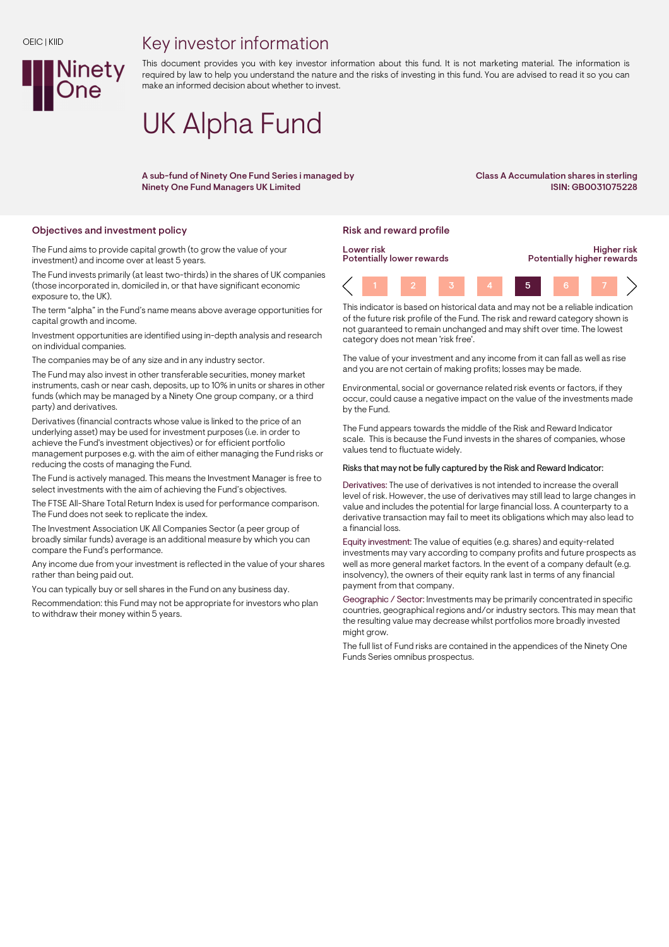#### OEIC | KIID

## Key investor information



This document provides you with key investor information about this fund. It is not marketing material. The information is required by law to help you understand the nature and the risks of investing in this fund. You are advised to read it so you can make an informed decision about whether to invest.

# UK Alpha Fund

A sub-fund of Ninety One Fund Series i managed by Ninety One Fund Managers UK Limited

Class A Accumulation shares in sterling ISIN: GB0031075228

### Objectives and investment policy **Risk and reward profile** Risk and reward profile

The Fund aims to provide capital growth (to grow the value of your investment) and income over at least 5 years.

The Fund invests primarily (at least two-thirds) in the shares of UK companies (those incorporated in, domiciled in, or that have significant economic exposure to, the UK).

The term "alpha" in the Fund's name means above average opportunities for capital growth and income.

Investment opportunities are identified using in-depth analysis and research on individual companies.

The companies may be of any size and in any industry sector.

The Fund may also invest in other transferable securities, money market instruments, cash or near cash, deposits, up to 10% in units or shares in other funds (which may be managed by a Ninety One group company, or a third party) and derivatives.

Derivatives (financial contracts whose value is linked to the price of an underlying asset) may be used for investment purposes (i.e. in order to achieve the Fund's investment objectives) or for efficient portfolio management purposes e.g. with the aim of either managing the Fund risks or reducing the costs of managing the Fund.

The Fund is actively managed. This means the Investment Manager is free to select investments with the aim of achieving the Fund's objectives.

The FTSE All-Share Total Return Index is used for performance comparison. The Fund does not seek to replicate the index.

The Investment Association UK All Companies Sector (a peer group of broadly similar funds) average is an additional measure by which you can compare the Fund's performance.

Any income due from your investment is reflected in the value of your shares rather than being paid out.

You can typically buy or sell shares in the Fund on any business day.

Recommendation: this Fund may not be appropriate for investors who plan to withdraw their money within 5 years.



This indicator is based on historical data and may not be a reliable indication of the future risk profile of the Fund. The risk and reward category shown is not guaranteed to remain unchanged and may shift over time. The lowest category does not mean 'risk free'.

The value of your investment and any income from it can fall as well as rise and you are not certain of making profits; losses may be made.

Environmental, social or governance related risk events or factors, if they occur, could cause a negative impact on the value of the investments made by the Fund.

The Fund appears towards the middle of the Risk and Reward Indicator scale. This is because the Fund invests in the shares of companies, whose values tend to fluctuate widely.

#### Risks that may not be fully captured by the Risk and Reward Indicator:

Derivatives: The use of derivatives is not intended to increase the overall level of risk. However, the use of derivatives may still lead to large changes in value and includes the potential for large financial loss. A counterparty to a derivative transaction may fail to meet its obligations which may also lead to a financial loss.

Equity investment: The value of equities (e.g. shares) and equity-related investments may vary according to company profits and future prospects as well as more general market factors. In the event of a company default (e.g. insolvency), the owners of their equity rank last in terms of any financial payment from that company.

Geographic / Sector: Investments may be primarily concentrated in specific countries, geographical regions and/or industry sectors. This may mean that the resulting value may decrease whilst portfolios more broadly invested might grow.

The full list of Fund risks are contained in the appendices of the Ninety One Funds Series omnibus prospectus.